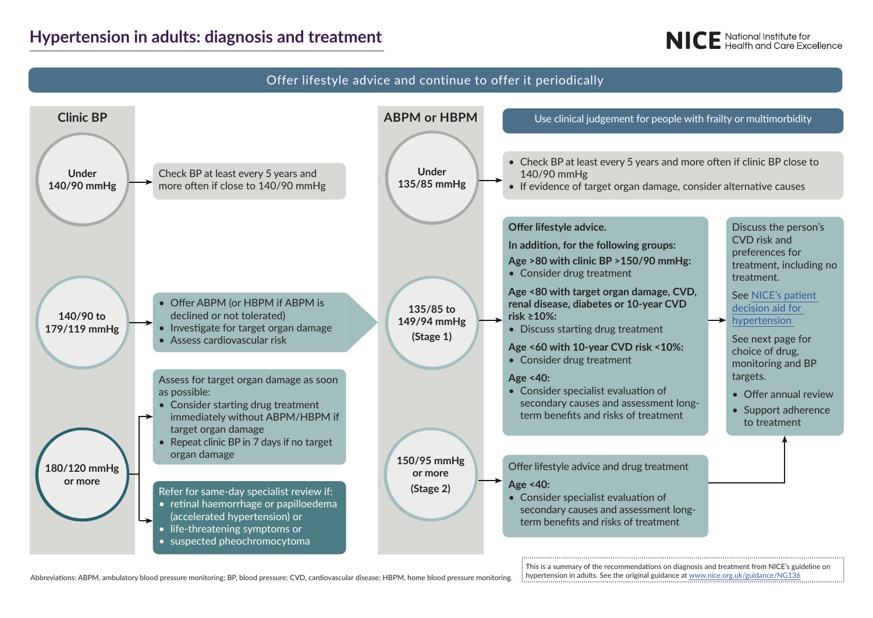## **Hypertension in adults: diagnosis and treatment**

# **NICE** National Institute for<br>**NICE** Health and Care Excellence



Abbreviations: ABPM, ambulatory blood pressure monitoring; BP, blood pressure; CVD, cardiovascular disease; HBPM, home blood pressure monitoring.

This is a summary of the recommendations on diagnosis and treatment from NICE's guideline on hypertension in adults. See the original guidance at www.nice.org.uk/guidance/NG136